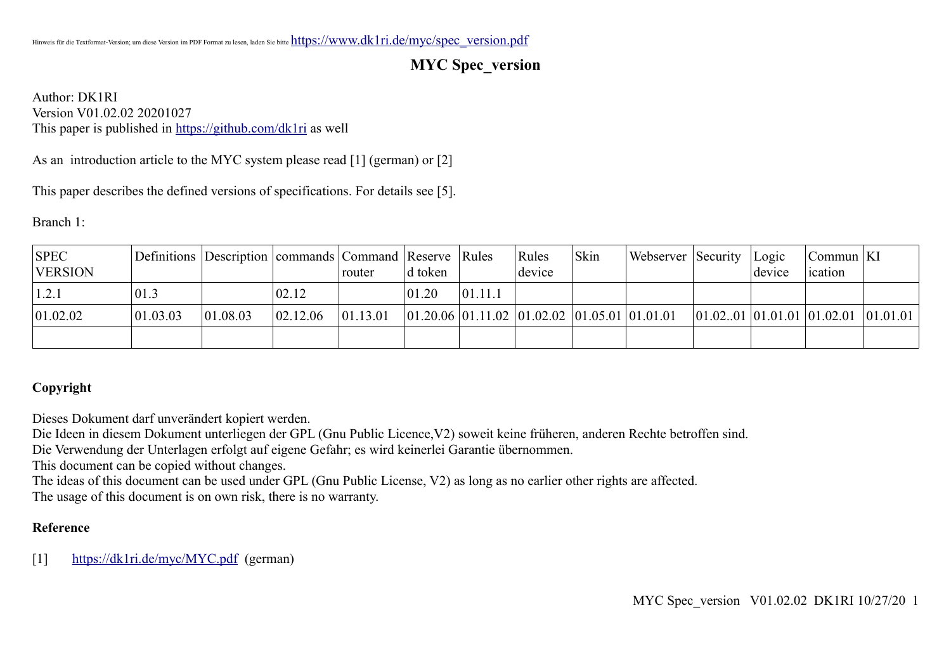## **MYC Spec\_version**

Author: DK1RI Version V01.02.02 20201027 This paper is published in<https://github.com/dk1ri>as well

As an introduction article to the MYC system please read [1] (german) or [2]

This paper describes the defined versions of specifications. For details see [5].

Branch 1:

| <b>SPEC</b><br><b>VERSION</b> | Definitions | Description commands Command Reserve Rules |          | router   | d token |         | Rules<br>device | Skin | Webserver   Security                                                               | $\angle$ Logic<br>device | Common KI<br>ication                                               |  |
|-------------------------------|-------------|--------------------------------------------|----------|----------|---------|---------|-----------------|------|------------------------------------------------------------------------------------|--------------------------|--------------------------------------------------------------------|--|
|                               | 01.3        |                                            | 02.12    |          | 01.20   | 01.11.1 |                 |      |                                                                                    |                          |                                                                    |  |
| 01.02.02                      | 01.03.03    | 01.08.03                                   | 02.12.06 | 01.13.01 |         |         |                 |      | $\vert 01.20.06 \vert 01.11.02 \vert 01.02.02 \vert 01.05.01 \vert 01.01.01 \vert$ |                          | $\vert 01.0201 \vert 01.01.01 \vert 01.02.01 \vert 01.01.01 \vert$ |  |
|                               |             |                                            |          |          |         |         |                 |      |                                                                                    |                          |                                                                    |  |

## **Copyright**

Dieses Dokument darf unverändert kopiert werden.

Die Ideen in diesem Dokument unterliegen der GPL (Gnu Public Licence,V2) soweit keine früheren, anderen Rechte betroffen sind.

Die Verwendung der Unterlagen erfolgt auf eigene Gefahr; es wird keinerlei Garantie übernommen.

This document can be copied without changes.

The ideas of this document can be used under GPL (Gnu Public License, V2) as long as no earlier other rights are affected.

The usage of this document is on own risk, there is no warranty.

## **Reference**

[1] <https://dk1ri.de/myc/MYC.pdf>(german)